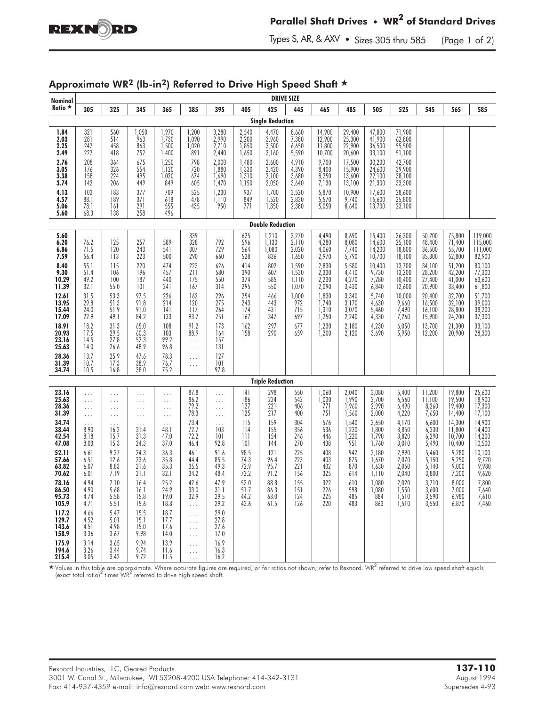

Types S, AR, & AXV  $\bullet$  Sizes 305 thru 585 (Page 1 of 2)

| Nominal                                                                                                                                                             |                                                                                                                                              |                                                                                                                                                       |                                                                                                                                           |                                                                                                                                 |                                                                                                                                                               |                                                                                                                             |                                                                                                |                                                                                                      | <b>DRIVE SIZE</b>                                                                                                |                                                                                                                            |                                                                                                                            |                                                                                                                                 |                                                                                                                                            |                                                                                                                                          |                                                                                                                                          |                                                                                                                                                    |
|---------------------------------------------------------------------------------------------------------------------------------------------------------------------|----------------------------------------------------------------------------------------------------------------------------------------------|-------------------------------------------------------------------------------------------------------------------------------------------------------|-------------------------------------------------------------------------------------------------------------------------------------------|---------------------------------------------------------------------------------------------------------------------------------|---------------------------------------------------------------------------------------------------------------------------------------------------------------|-----------------------------------------------------------------------------------------------------------------------------|------------------------------------------------------------------------------------------------|------------------------------------------------------------------------------------------------------|------------------------------------------------------------------------------------------------------------------|----------------------------------------------------------------------------------------------------------------------------|----------------------------------------------------------------------------------------------------------------------------|---------------------------------------------------------------------------------------------------------------------------------|--------------------------------------------------------------------------------------------------------------------------------------------|------------------------------------------------------------------------------------------------------------------------------------------|------------------------------------------------------------------------------------------------------------------------------------------|----------------------------------------------------------------------------------------------------------------------------------------------------|
| Ratio $\star$                                                                                                                                                       | 305                                                                                                                                          | 325                                                                                                                                                   | 345                                                                                                                                       | 365                                                                                                                             | 385                                                                                                                                                           | 395                                                                                                                         | 405                                                                                            | 425                                                                                                  | 445                                                                                                              | 465                                                                                                                        | 485                                                                                                                        | 505                                                                                                                             | 525                                                                                                                                        | 545                                                                                                                                      | 565                                                                                                                                      | 585                                                                                                                                                |
| <b>Single Reduction</b>                                                                                                                                             |                                                                                                                                              |                                                                                                                                                       |                                                                                                                                           |                                                                                                                                 |                                                                                                                                                               |                                                                                                                             |                                                                                                |                                                                                                      |                                                                                                                  |                                                                                                                            |                                                                                                                            |                                                                                                                                 |                                                                                                                                            |                                                                                                                                          |                                                                                                                                          |                                                                                                                                                    |
| 1.84<br>2.03<br>2.25<br>2.49                                                                                                                                        | $\begin{array}{c} 321 \\ 281 \end{array}$<br>247<br>227                                                                                      | 560<br>514<br>458<br>418                                                                                                                              | 1,050<br>963<br>863<br>752                                                                                                                | 1,970<br>1,730<br>1,500<br>1,400                                                                                                | 1,200<br>1,090<br>1,020<br>891                                                                                                                                | 3,280<br>2,990<br>2,710<br>2,440                                                                                            | 2,540<br>2,200<br>1,850<br>1,650                                                               | 4,470<br>3,960<br>3,500<br>3,160                                                                     | 8,660<br>7,380<br>$6,650$<br>5,590                                                                               | 14,900<br>12,900<br>11,800<br>10,700                                                                                       | 29,400<br>25,300<br>22,900<br>20,600                                                                                       | 47,800<br>41,900<br>36,500<br>33,100                                                                                            | 71,900<br>62,800<br>55,500<br>51,100                                                                                                       |                                                                                                                                          |                                                                                                                                          |                                                                                                                                                    |
| 2.76<br>3.05<br>$3.38$<br>$3.74$                                                                                                                                    | 208<br>176<br>158<br>142                                                                                                                     | 364<br>326<br>224<br>206                                                                                                                              | 675<br>554<br>495<br>449                                                                                                                  | 1,250<br>1,120<br>1,020<br>849                                                                                                  | 798<br>720<br>674<br>605                                                                                                                                      | 2,000<br>1,880<br>1,690<br>1,470                                                                                            | 1,480<br>1,330<br>1,310<br>1,150                                                               | 2,600<br>2,420<br>$2,100$<br>$2,050$                                                                 | 4,910<br>4,390<br>3,680<br>3,640                                                                                 | 9,700<br>8,400<br>$\frac{8,250}{7,130}$                                                                                    | 17,500<br>15,900<br>13,600<br>13,100                                                                                       | 30,200<br>24,600<br>22,100<br>21,300                                                                                            | 42,700<br>39,900<br>38,100<br>33,300                                                                                                       |                                                                                                                                          |                                                                                                                                          |                                                                                                                                                    |
| $4.13$<br>$4.57$<br>5.06<br>5.60                                                                                                                                    | 103<br>88.1<br>78.1<br>68.3                                                                                                                  | 183<br>189<br>161<br>138                                                                                                                              | 377<br>371<br>291<br>258                                                                                                                  | 709<br>618<br>555<br>496                                                                                                        | 525<br>478<br>435                                                                                                                                             | 1,230<br>1,110<br>950                                                                                                       | 937<br>849<br>771                                                                              | 1,700<br>1,520<br>1,350                                                                              | 3,520<br>2,830<br>2,380                                                                                          | 5,870<br>5,050                                                                                                             | 10,900<br>9,740<br>8,640                                                                                                   | 17,600<br>15,600<br>13,700                                                                                                      | 28,600<br>25,800<br>23,100                                                                                                                 |                                                                                                                                          |                                                                                                                                          |                                                                                                                                                    |
| <b>Double Reduction</b>                                                                                                                                             |                                                                                                                                              |                                                                                                                                                       |                                                                                                                                           |                                                                                                                                 |                                                                                                                                                               |                                                                                                                             |                                                                                                |                                                                                                      |                                                                                                                  |                                                                                                                            |                                                                                                                            |                                                                                                                                 |                                                                                                                                            |                                                                                                                                          |                                                                                                                                          |                                                                                                                                                    |
| 5.60<br>6.20<br>6.86<br>7.59<br>8.40<br>$9.30$<br>10.29<br>11.39<br>12.61<br>13.95<br>15.44<br>17.09<br>18.91<br>20.93<br>23.16<br>25.63<br>28.36<br>31.39<br>34.74 | 76.2<br>71.5<br>56.4<br>55.1<br>51.4<br>49.2<br>32.1<br>31.5<br>29.8<br>24.0<br>22.9<br>18.2<br>17.5<br>14.5<br>14.0<br>13.7<br>10.7<br>10.5 | $i\overline{25}$<br>120<br>113<br>115<br>106<br>100<br>55.0<br>53.3<br>51.3<br>51.9<br>49.1<br>31.3<br>$29.5$<br>27.8<br>26.6<br>25.9<br>17.3<br>16.8 | 257<br>243<br>223<br>220<br>196<br>187<br>101<br>97.5<br>91.8<br>91.0<br>84.2<br>65.0<br>$60.3$<br>$52.3$<br>48.9<br>47.6<br>38.9<br>38.0 | 589<br>541<br>500<br>474<br>457<br>440<br>241<br>226<br>214<br>141<br>133<br>108<br>103<br>99.2<br>96.8<br>78.3<br>76.7<br>75.2 | 339<br>328<br>307<br>290<br>223<br>211<br>175<br>167<br>162<br>120<br>117<br>93.7<br>91.2<br>88.9<br>$\ldots$<br>$\ldots$<br>$\ldots$<br>$\ldots$<br>$\ldots$ | 792<br>729<br>660<br>626<br>580<br>550<br>314<br>296<br>275<br>264<br>251<br>173<br>164<br>157<br>131<br>127<br>101<br>97.8 | 625<br>596<br>564<br>528<br>414<br>390<br>374<br>295<br>254<br>243<br>174<br>167<br>162<br>158 | 1,210<br>1,130<br>1,080<br>836<br>802<br>607<br>585<br>550<br>466<br>443<br>431<br>347<br>297<br>290 | 2,270<br>2,110<br>2,020<br>1,650<br>1,590<br>1,530<br>1,110<br>1,070<br>1,000<br>972<br>715<br>697<br>677<br>659 | 4,490<br>4,280<br>4,060<br>2,970<br>2,830<br>2,330<br>2,230<br>2,090<br>1,830<br>1,740<br>1,310<br>1,250<br>1,230<br>1,200 | 8,690<br>8,080<br>7,740<br>5,790<br>5,580<br>4,410<br>4,270<br>3,430<br>3,340<br>3,170<br>3,070<br>2,240<br>2,180<br>2,120 | 15,400<br>14,600<br>14,200<br>10,700<br>10,400<br>9,730<br>7,280<br>6,840<br>5,740<br>4,630<br>5,460<br>4,330<br>4,230<br>3,690 | 26,200<br>25,100<br>18,800<br>18,100<br>13,700<br>$\frac{13,200}{10,400}$<br>12,600<br>10,000<br>9,660<br>7,490<br>7,260<br>6,050<br>5,950 | 50,200<br>48,400<br>36,500<br>35,300<br>34,100<br>28,200<br>27,400<br>20,900<br>20,400<br>16,500<br>16,100<br>15,900<br>13,700<br>12,200 | 75,800<br>71,400<br>55,700<br>52,800<br>51,200<br>42,200<br>41,000<br>33,400<br>32,700<br>32,100<br>28,800<br>24,200<br>21,300<br>20,900 | 119,000<br>$\frac{115,000}{111,000}$<br>82,900<br>80,100<br>77,300<br>63,600<br>61,800<br>51,700<br>39,000<br>38,200<br>37,300<br>33,100<br>28,300 |
| <b>Triple Reduction</b>                                                                                                                                             |                                                                                                                                              |                                                                                                                                                       |                                                                                                                                           |                                                                                                                                 |                                                                                                                                                               |                                                                                                                             |                                                                                                |                                                                                                      |                                                                                                                  |                                                                                                                            |                                                                                                                            |                                                                                                                                 |                                                                                                                                            |                                                                                                                                          |                                                                                                                                          |                                                                                                                                                    |
| 23.16<br>25.63<br>28.36<br>31.39                                                                                                                                    | .<br>.<br>.<br>.                                                                                                                             | .<br>.<br>.<br>.                                                                                                                                      | .<br>$\cdots$<br>$\cdots$<br>.                                                                                                            | .<br>$\ldots$<br>$\cdots$<br>$\cdots$                                                                                           | 87.8<br>86.2<br>79.2<br>78.3                                                                                                                                  | $\ldots$<br>$\cdots$<br>$\cdots$<br>$\ldots$                                                                                | 4 <br>186<br>127<br>125                                                                        | 298<br>224<br>221<br>217                                                                             | 550<br>542<br>406<br>400                                                                                         | 1,060<br>1,030<br>771<br>751                                                                                               | 2,040<br>1,990<br>1,960<br>1,560                                                                                           | 3,080<br>2,700<br>2,990<br>2,000                                                                                                | 5,400<br>$6,560$<br>$6,490$<br>4,220                                                                                                       | 11,200<br>11,100<br>8,260<br>7,650                                                                                                       | 19,800<br>19,500<br>19,400<br>14,400                                                                                                     | 25,600<br>18,900<br>17,300<br>17,100                                                                                                               |
| 34.74<br>38.44<br>42.54<br>47.08<br>52.11<br>57.66<br>63.82<br>70.62                                                                                                | .<br>8.90<br>8.18<br>8.03<br>6.61<br>6.51<br>6.07<br>6.01                                                                                    | 16.2<br>15.7<br>15.3<br>9.27<br>12.6<br>8.83<br>7.19                                                                                                  | 31.4<br>31.3<br>24.3<br>24.3<br>23.6<br>21.6<br>21.1                                                                                      | 48.1<br>47.0<br>37.0<br>36.3<br>35.8<br>35.3<br>32.1                                                                            | 73.4<br>72.7<br>72.2<br>46.4<br>46.1<br>44.4<br>35.5<br>34.2                                                                                                  | .<br>103<br>101<br>92.8<br>91.6<br>85.5<br>49.3<br>48.4                                                                     | 115<br>114<br>111<br>101<br>98.5<br>74.3<br>72.9<br>72.2                                       | 159<br>155<br>154<br>144<br>121<br>96.4<br>95.7<br>91.2                                              | 304<br>356<br>246<br>270<br>225<br>223<br>$\overline{221}$<br>156                                                | 576<br>536<br>446<br>438<br>408<br>403<br>402<br>325                                                                       | 1,540<br>1,230<br>1,220<br>951<br>942<br>875<br>870<br>614                                                                 | 2,650<br>1,800<br>1,790<br>1,760<br>2,180<br>1,670<br>1,630<br>1,110                                                            | 4,170<br>$\frac{3,850}{3,820}$<br>3,010<br>2,990<br>2,070<br>2,050<br>2,040                                                                | 6,600<br>6,330<br>6,290<br>5,490<br>5,460<br>$\frac{5,150}{5,140}$<br>3,800                                                              | 14,300<br>11,800<br>10,700<br>10,400<br>9,280<br>9,250<br>9,000<br>7,200                                                                 | 14,900<br>$14,400$<br>$14,200$<br>10,500<br>10,100<br>$9,720$<br>$9,980$<br>9,620                                                                  |
| 78.16<br>86.50<br>95.73<br>105.9                                                                                                                                    | 4.94<br>4.YU<br>4.74<br>4.71                                                                                                                 | 7.10<br>5.68<br>5.58<br>5.51                                                                                                                          | 16.4<br>16.1<br>15.8<br>15.6                                                                                                              | 25.2<br>24.9<br>19.0<br>18.8                                                                                                    | 42.6<br>33.0<br>32.9<br>$\ldots$                                                                                                                              | 47.9<br>31.I<br>29.5<br>29.2                                                                                                | 52.0<br>51.7<br>44.2<br>43.6                                                                   | 88.8<br>86.3<br>63.0<br>61.5                                                                         | 155<br>151<br>124<br>126                                                                                         | 322<br>226<br>225<br>220                                                                                                   | 610<br>578<br>485<br>483                                                                                                   | 1,080<br>1,080<br>884<br>863                                                                                                    | 2,020<br>1,550<br>1,510<br>1,510                                                                                                           | $3,710$<br>$3,600$<br>3,590<br>3,550                                                                                                     | 8,000<br>7,000<br>6,980<br>6,870                                                                                                         | 7,800<br>7,610<br>7,460                                                                                                                            |
| 117.2<br>129.7<br>143.6<br>158.9                                                                                                                                    | 4.66<br>4.52<br>4.51<br>3.36                                                                                                                 | 5.47<br>5.01<br>4.98<br>3.67                                                                                                                          | 15.5<br>15.1<br>15.0<br>9.98                                                                                                              | 18.7<br>17.7<br>17.6<br>14.0                                                                                                    | $\ldots$<br>$\ldots$<br>$\ldots$<br>$\ldots$                                                                                                                  | 29.0<br>27.8<br>27.6<br>17.0                                                                                                |                                                                                                |                                                                                                      |                                                                                                                  |                                                                                                                            |                                                                                                                            |                                                                                                                                 |                                                                                                                                            |                                                                                                                                          |                                                                                                                                          |                                                                                                                                                    |
| 175.9<br>194.6<br>215.4                                                                                                                                             | 3.14<br>3.26<br>3.05                                                                                                                         | 3.65<br>3.44<br>3.42                                                                                                                                  | 9.94<br>9.74<br>9.72                                                                                                                      | 13.9<br>11.6<br>11.5                                                                                                            | $\ldots$<br>$\ldots$<br>$\ldots$                                                                                                                              | 16.9<br>16.3<br>16.2                                                                                                        |                                                                                                |                                                                                                      |                                                                                                                  |                                                                                                                            |                                                                                                                            |                                                                                                                                 |                                                                                                                                            |                                                                                                                                          |                                                                                                                                          |                                                                                                                                                    |

## Approximate WR<sup>2</sup> (lb-in<sup>2</sup>) Referred to Drive High Speed Shaft  $\star$

 $\star$  Values in this table are approximate. Where accurate figures are required, or for ratios not shown; refer to Rexnord. WR<sup>2</sup> referred to drive low speed shaft equals (exact total ratio)<sup>2</sup> times WR<sup>2</sup> referred to drive high speed shaft.